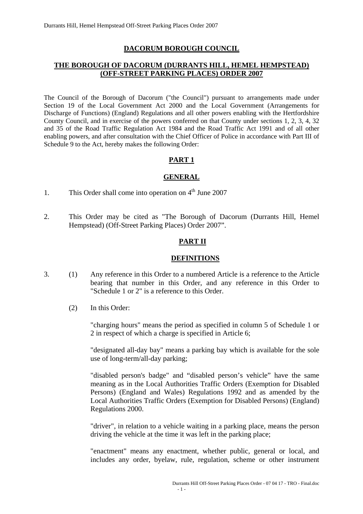#### **DACORUM BOROUGH COUNCIL**

#### **THE BOROUGH OF DACORUM (DURRANTS HILL, HEMEL HEMPSTEAD) (OFF-STREET PARKING PLACES) ORDER 2007**

The Council of the Borough of Dacorum ("the Council") pursuant to arrangements made under Section 19 of the Local Government Act 2000 and the Local Government (Arrangements for Discharge of Functions) (England) Regulations and all other powers enabling with the Hertfordshire County Council, and in exercise of the powers conferred on that County under sections 1, 2, 3, 4, 32 and 35 of the Road Traffic Regulation Act 1984 and the Road Traffic Act 1991 and of all other enabling powers, and after consultation with the Chief Officer of Police in accordance with Part III of Schedule 9 to the Act, hereby makes the following Order:

#### **PART 1**

#### **GENERAL**

- 1. This Order shall come into operation on  $4<sup>th</sup>$  June 2007
- 2. This Order may be cited as "The Borough of Dacorum (Durrants Hill, Hemel Hempstead) (Off-Street Parking Places) Order 2007".

#### **PART II**

#### **DEFINITIONS**

- 3. (1) Any reference in this Order to a numbered Article is a reference to the Article bearing that number in this Order, and any reference in this Order to "Schedule 1 or 2" is a reference to this Order.
	- (2) In this Order:

 "charging hours" means the period as specified in column 5 of Schedule 1 or 2 in respect of which a charge is specified in Article 6;

 "designated all-day bay" means a parking bay which is available for the sole use of long-term/all-day parking;

 "disabled person's badge" and "disabled person's vehicle" have the same meaning as in the Local Authorities Traffic Orders (Exemption for Disabled Persons) (England and Wales) Regulations 1992 and as amended by the Local Authorities Traffic Orders (Exemption for Disabled Persons) (England) Regulations 2000.

 "driver", in relation to a vehicle waiting in a parking place, means the person driving the vehicle at the time it was left in the parking place;

 "enactment" means any enactment, whether public, general or local, and includes any order, byelaw, rule, regulation, scheme or other instrument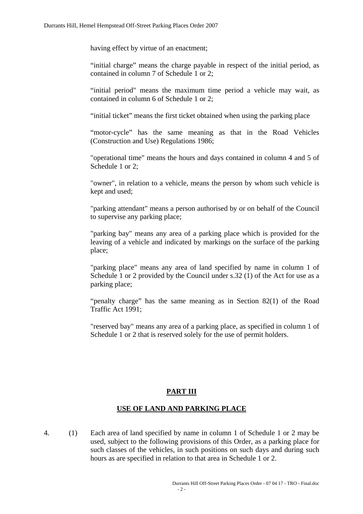having effect by virtue of an enactment;

 "initial charge" means the charge payable in respect of the initial period, as contained in column 7 of Schedule 1 or 2;

 "initial period" means the maximum time period a vehicle may wait, as contained in column 6 of Schedule 1 or 2;

"initial ticket" means the first ticket obtained when using the parking place

 "motor-cycle" has the same meaning as that in the Road Vehicles (Construction and Use) Regulations 1986;

 "operational time" means the hours and days contained in column 4 and 5 of Schedule 1 or 2:

 "owner", in relation to a vehicle, means the person by whom such vehicle is kept and used;

 "parking attendant" means a person authorised by or on behalf of the Council to supervise any parking place;

 "parking bay" means any area of a parking place which is provided for the leaving of a vehicle and indicated by markings on the surface of the parking place;

 "parking place" means any area of land specified by name in column 1 of Schedule 1 or 2 provided by the Council under s.32 (1) of the Act for use as a parking place;

 "penalty charge" has the same meaning as in Section 82(1) of the Road Traffic Act 1991;

 "reserved bay" means any area of a parking place, as specified in column 1 of Schedule 1 or 2 that is reserved solely for the use of permit holders.

#### **PART III**

#### **USE OF LAND AND PARKING PLACE**

4. (1) Each area of land specified by name in column 1 of Schedule 1 or 2 may be used, subject to the following provisions of this Order, as a parking place for such classes of the vehicles, in such positions on such days and during such hours as are specified in relation to that area in Schedule 1 or 2.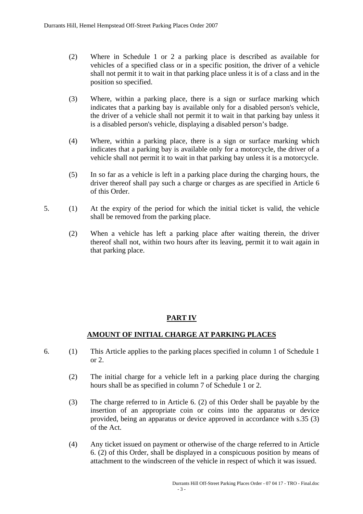- (2) Where in Schedule 1 or 2 a parking place is described as available for vehicles of a specified class or in a specific position, the driver of a vehicle shall not permit it to wait in that parking place unless it is of a class and in the position so specified.
- (3) Where, within a parking place, there is a sign or surface marking which indicates that a parking bay is available only for a disabled person's vehicle, the driver of a vehicle shall not permit it to wait in that parking bay unless it is a disabled person's vehicle, displaying a disabled person's badge.
- (4) Where, within a parking place, there is a sign or surface marking which indicates that a parking bay is available only for a motorcycle, the driver of a vehicle shall not permit it to wait in that parking bay unless it is a motorcycle.
- (5) In so far as a vehicle is left in a parking place during the charging hours, the driver thereof shall pay such a charge or charges as are specified in Article 6 of this Order.
- 5. (1) At the expiry of the period for which the initial ticket is valid, the vehicle shall be removed from the parking place.
	- (2) When a vehicle has left a parking place after waiting therein, the driver thereof shall not, within two hours after its leaving, permit it to wait again in that parking place.

#### **PART IV**

#### **AMOUNT OF INITIAL CHARGE AT PARKING PLACES**

- 6. (1) This Article applies to the parking places specified in column 1 of Schedule 1 or 2.
	- (2) The initial charge for a vehicle left in a parking place during the charging hours shall be as specified in column 7 of Schedule 1 or 2.
	- (3) The charge referred to in Article 6. (2) of this Order shall be payable by the insertion of an appropriate coin or coins into the apparatus or device provided, being an apparatus or device approved in accordance with s.35 (3) of the Act.
	- (4) Any ticket issued on payment or otherwise of the charge referred to in Article 6. (2) of this Order, shall be displayed in a conspicuous position by means of attachment to the windscreen of the vehicle in respect of which it was issued.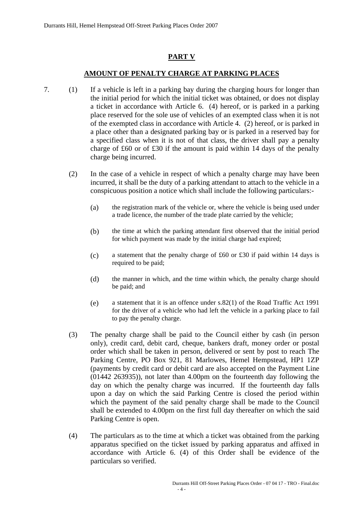#### **PART V**

#### **AMOUNT OF PENALTY CHARGE AT PARKING PLACES**

- 7. (1) If a vehicle is left in a parking bay during the charging hours for longer than the initial period for which the initial ticket was obtained, or does not display a ticket in accordance with Article 6. (4) hereof, or is parked in a parking place reserved for the sole use of vehicles of an exempted class when it is not of the exempted class in accordance with Article 4. (2) hereof, or is parked in a place other than a designated parking bay or is parked in a reserved bay for a specified class when it is not of that class, the driver shall pay a penalty charge of £60 or of £30 if the amount is paid within 14 days of the penalty charge being incurred.
	- (2) In the case of a vehicle in respect of which a penalty charge may have been incurred, it shall be the duty of a parking attendant to attach to the vehicle in a conspicuous position a notice which shall include the following particulars:-
		- (a) the registration mark of the vehicle or, where the vehicle is being used under a trade licence, the number of the trade plate carried by the vehicle;
		- (b) the time at which the parking attendant first observed that the initial period for which payment was made by the initial charge had expired;
		- (c) a statement that the penalty charge of £60 or £30 if paid within 14 days is required to be paid;
		- (d) the manner in which, and the time within which, the penalty charge should be paid; and
		- (e) a statement that it is an offence under s.82(1) of the Road Traffic Act 1991 for the driver of a vehicle who had left the vehicle in a parking place to fail to pay the penalty charge.
	- (3) The penalty charge shall be paid to the Council either by cash (in person only), credit card, debit card, cheque, bankers draft, money order or postal order which shall be taken in person, delivered or sent by post to reach The Parking Centre, PO Box 921, 81 Marlowes, Hemel Hempstead, HP1 1ZP (payments by credit card or debit card are also accepted on the Payment Line (01442 263935)), not later than 4.00pm on the fourteenth day following the day on which the penalty charge was incurred. If the fourteenth day falls upon a day on which the said Parking Centre is closed the period within which the payment of the said penalty charge shall be made to the Council shall be extended to 4.00pm on the first full day thereafter on which the said Parking Centre is open.
	- (4) The particulars as to the time at which a ticket was obtained from the parking apparatus specified on the ticket issued by parking apparatus and affixed in accordance with Article 6. (4) of this Order shall be evidence of the particulars so verified.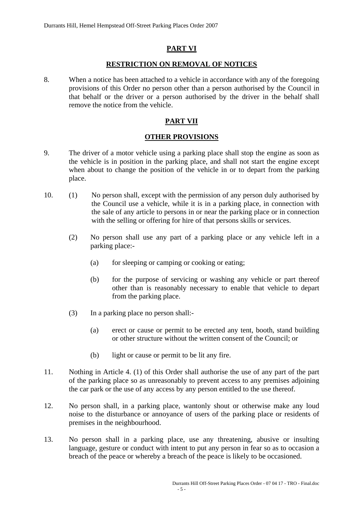#### **PART VI**

#### **RESTRICTION ON REMOVAL OF NOTICES**

8. When a notice has been attached to a vehicle in accordance with any of the foregoing provisions of this Order no person other than a person authorised by the Council in that behalf or the driver or a person authorised by the driver in the behalf shall remove the notice from the vehicle.

#### **PART VII**

#### **OTHER PROVISIONS**

- 9. The driver of a motor vehicle using a parking place shall stop the engine as soon as the vehicle is in position in the parking place, and shall not start the engine except when about to change the position of the vehicle in or to depart from the parking place.
- 10. (1) No person shall, except with the permission of any person duly authorised by the Council use a vehicle, while it is in a parking place, in connection with the sale of any article to persons in or near the parking place or in connection with the selling or offering for hire of that persons skills or services.
	- (2) No person shall use any part of a parking place or any vehicle left in a parking place:-
		- (a) for sleeping or camping or cooking or eating;
		- (b) for the purpose of servicing or washing any vehicle or part thereof other than is reasonably necessary to enable that vehicle to depart from the parking place.
	- (3) In a parking place no person shall:-
		- (a) erect or cause or permit to be erected any tent, booth, stand building or other structure without the written consent of the Council; or
		- (b) light or cause or permit to be lit any fire.
- 11. Nothing in Article 4. (1) of this Order shall authorise the use of any part of the part of the parking place so as unreasonably to prevent access to any premises adjoining the car park or the use of any access by any person entitled to the use thereof.
- 12. No person shall, in a parking place, wantonly shout or otherwise make any loud noise to the disturbance or annoyance of users of the parking place or residents of premises in the neighbourhood.
- 13. No person shall in a parking place, use any threatening, abusive or insulting language, gesture or conduct with intent to put any person in fear so as to occasion a breach of the peace or whereby a breach of the peace is likely to be occasioned.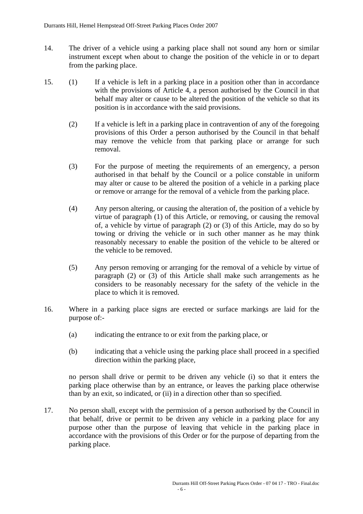- 14. The driver of a vehicle using a parking place shall not sound any horn or similar instrument except when about to change the position of the vehicle in or to depart from the parking place.
- 15. (1) If a vehicle is left in a parking place in a position other than in accordance with the provisions of Article 4, a person authorised by the Council in that behalf may alter or cause to be altered the position of the vehicle so that its position is in accordance with the said provisions.
	- (2) If a vehicle is left in a parking place in contravention of any of the foregoing provisions of this Order a person authorised by the Council in that behalf may remove the vehicle from that parking place or arrange for such removal.
	- (3) For the purpose of meeting the requirements of an emergency, a person authorised in that behalf by the Council or a police constable in uniform may alter or cause to be altered the position of a vehicle in a parking place or remove or arrange for the removal of a vehicle from the parking place.
	- (4) Any person altering, or causing the alteration of, the position of a vehicle by virtue of paragraph (1) of this Article, or removing, or causing the removal of, a vehicle by virtue of paragraph (2) or (3) of this Article, may do so by towing or driving the vehicle or in such other manner as he may think reasonably necessary to enable the position of the vehicle to be altered or the vehicle to be removed.
	- (5) Any person removing or arranging for the removal of a vehicle by virtue of paragraph (2) or (3) of this Article shall make such arrangements as he considers to be reasonably necessary for the safety of the vehicle in the place to which it is removed.
- 16. Where in a parking place signs are erected or surface markings are laid for the purpose of:-
	- (a) indicating the entrance to or exit from the parking place, or
	- (b) indicating that a vehicle using the parking place shall proceed in a specified direction within the parking place,

 no person shall drive or permit to be driven any vehicle (i) so that it enters the parking place otherwise than by an entrance, or leaves the parking place otherwise than by an exit, so indicated, or (ii) in a direction other than so specified.

17. No person shall, except with the permission of a person authorised by the Council in that behalf, drive or permit to be driven any vehicle in a parking place for any purpose other than the purpose of leaving that vehicle in the parking place in accordance with the provisions of this Order or for the purpose of departing from the parking place.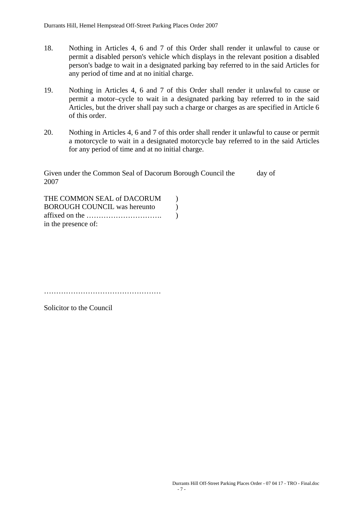- 18. Nothing in Articles 4, 6 and 7 of this Order shall render it unlawful to cause or permit a disabled person's vehicle which displays in the relevant position a disabled person's badge to wait in a designated parking bay referred to in the said Articles for any period of time and at no initial charge.
- 19. Nothing in Articles 4, 6 and 7 of this Order shall render it unlawful to cause or permit a motor–cycle to wait in a designated parking bay referred to in the said Articles, but the driver shall pay such a charge or charges as are specified in Article 6 of this order.
- 20. Nothing in Articles 4, 6 and 7 of this order shall render it unlawful to cause or permit a motorcycle to wait in a designated motorcycle bay referred to in the said Articles for any period of time and at no initial charge.

Given under the Common Seal of Dacorum Borough Council the day of 2007

| THE COMMON SEAL of DACORUM          |  |
|-------------------------------------|--|
| <b>BOROUGH COUNCIL was hereunto</b> |  |
|                                     |  |
| in the presence of:                 |  |

…………………………………………

Solicitor to the Council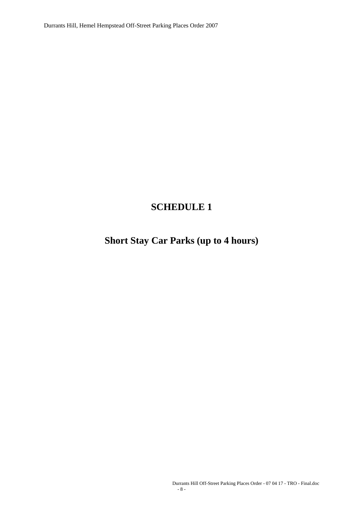Durrants Hill, Hemel Hempstead Off-Street Parking Places Order 2007

### **SCHEDULE 1**

# **Short Stay Car Parks (up to 4 hours)**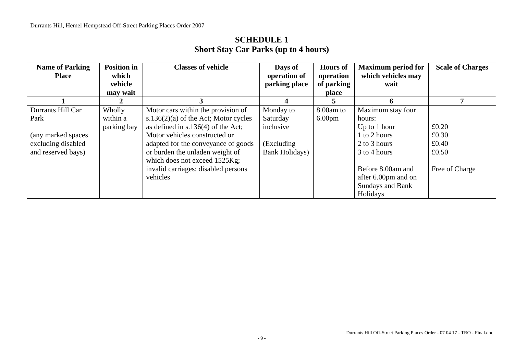| <b>Name of Parking</b> | <b>Position in</b> | <b>Classes of vehicle</b>               | Days of        | <b>Hours of</b>    | <b>Maximum period for</b> | <b>Scale of Charges</b> |
|------------------------|--------------------|-----------------------------------------|----------------|--------------------|---------------------------|-------------------------|
| <b>Place</b>           | which              |                                         | operation of   | operation          | which vehicles may        |                         |
|                        | vehicle            |                                         | parking place  | of parking         | wait                      |                         |
|                        | may wait           |                                         |                | place              |                           |                         |
|                        |                    |                                         |                |                    | h                         |                         |
| Durrants Hill Car      | Wholly             | Motor cars within the provision of      | Monday to      | 8.00am to          | Maximum stay four         |                         |
| Park                   | within a           | s.136 $(2)(a)$ of the Act; Motor cycles | Saturday       | 6.00 <sub>pm</sub> | hours:                    |                         |
|                        | parking bay        | as defined in $s.136(4)$ of the Act;    | inclusive      |                    | Up to 1 hour              | £0.20                   |
| (any marked spaces)    |                    | Motor vehicles constructed or           |                |                    | 1 to 2 hours              | £0.30                   |
| excluding disabled     |                    | adapted for the conveyance of goods     | (Excluding     |                    | 2 to 3 hours              | £0.40                   |
| and reserved bays)     |                    | or burden the unladen weight of         | Bank Holidays) |                    | 3 to 4 hours              | £0.50                   |
|                        |                    | which does not exceed 1525Kg;           |                |                    |                           |                         |
|                        |                    | invalid carriages; disabled persons     |                |                    | Before 8.00am and         | Free of Charge          |
|                        |                    | vehicles                                |                |                    | after 6.00pm and on       |                         |
|                        |                    |                                         |                |                    | <b>Sundays and Bank</b>   |                         |
|                        |                    |                                         |                |                    | Holidays                  |                         |

### **SCHEDULE 1 Short Stay Car Parks (up to 4 hours)**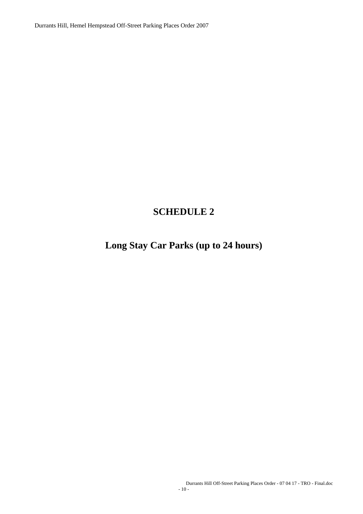Durrants Hill, Hemel Hempstead Off-Street Parking Places Order 2007

## **SCHEDULE 2**

## **Long Stay Car Parks (up to 24 hours)**